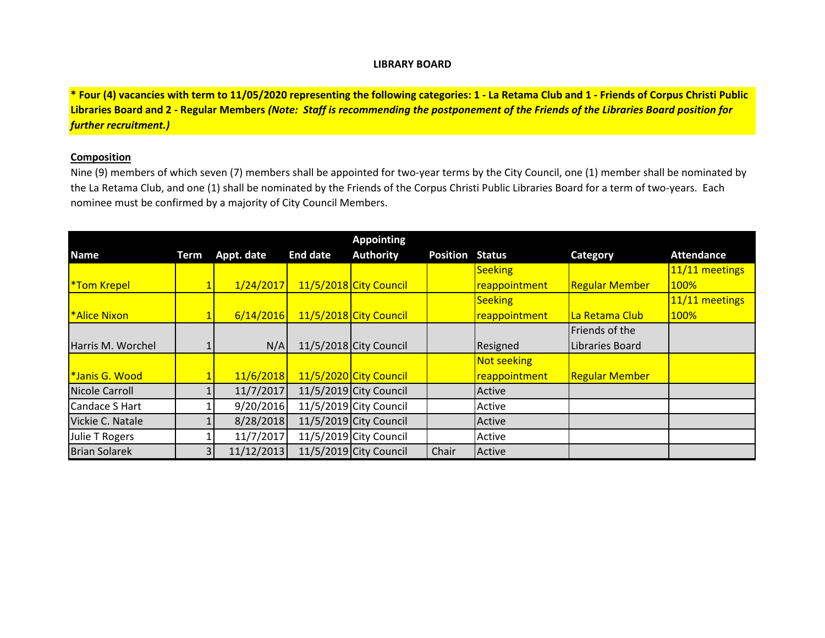#### **LIBRARY BOARD**

**\* Four (4) vacancies with term to 11/05/2020 representing the following categories: 1 - La Retama Club and 1 - Friends of Corpus Christi Public Libraries Board and 2 - Regular Members** *(Note: Staff is recommending the postponement of the Friends of the Libraries Board position for further recruitment.)*

### **Composition**

Nine (9) members of which seven (7) members shall be appointed for two-year terms by the City Council, one (1) member shall be nominated by the La Retama Club, and one (1) shall be nominated by the Friends of the Corpus Christi Public Libraries Board for a term of two-years. Each nominee must be confirmed by a majority of City Council Members.

|                       |             |            |                 | <b>Appointing</b>        |                        |                |                       |                   |
|-----------------------|-------------|------------|-----------------|--------------------------|------------------------|----------------|-----------------------|-------------------|
| <b>Name</b>           | <b>Term</b> | Appt. date | <b>End date</b> | <b>Authority</b>         | <b>Position Status</b> |                | Category              | <b>Attendance</b> |
|                       |             |            |                 |                          |                        | Seeking        |                       | $11/11$ meetings  |
| <b>*Tom Krepel</b>    |             | 1/24/2017  |                 | 11/5/2018 City Council   |                        | reappointment  | <b>Regular Member</b> | 100%              |
|                       |             |            |                 |                          |                        | <b>Seeking</b> |                       | 11/11 meetings    |
| <b>*Alice Nixon</b>   |             | 6/14/2016  |                 | 11/5/2018 City Council   |                        | reappointment  | La Retama Club        | 100%              |
|                       |             |            |                 |                          |                        |                | Friends of the        |                   |
| Harris M. Worchel     |             | N/A        |                 | $11/5/2018$ City Council |                        | Resigned       | Libraries Board       |                   |
|                       |             |            |                 |                          |                        | Not seeking    |                       |                   |
| *Janis G. Wood        |             | 11/6/2018  |                 | 11/5/2020 City Council   |                        | reappointment  | <b>Regular Member</b> |                   |
| <b>Nicole Carroll</b> |             | 11/7/2017  |                 | 11/5/2019 City Council   |                        | Active         |                       |                   |
| Candace S Hart        |             | 9/20/2016  |                 | $11/5/2019$ City Council |                        | Active         |                       |                   |
| Vickie C. Natale      |             | 8/28/2018  |                 | $11/5/2019$ City Council |                        | Active         |                       |                   |
| Julie T Rogers        |             | 11/7/2017  |                 | $11/5/2019$ City Council |                        | Active         |                       |                   |
| <b>Brian Solarek</b>  |             | 11/12/2013 |                 | 11/5/2019 City Council   | Chair                  | Active         |                       |                   |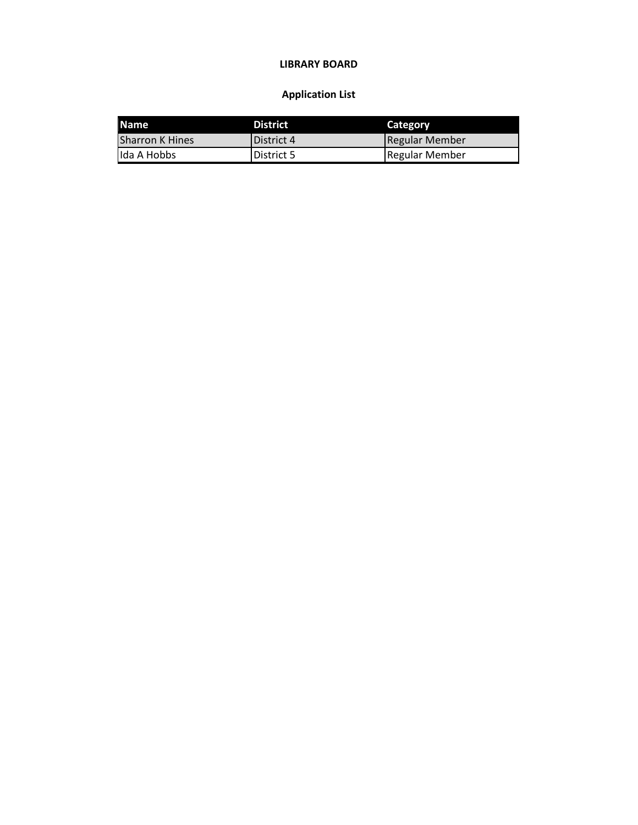## **LIBRARY BOARD**

# **Application List**

| <b>IName</b>           | <b>District</b> | <b>Category</b>       |
|------------------------|-----------------|-----------------------|
| <b>Sharron K Hines</b> | District 4      | Regular Member        |
| Ida A Hobbs            | District 5      | <b>Regular Member</b> |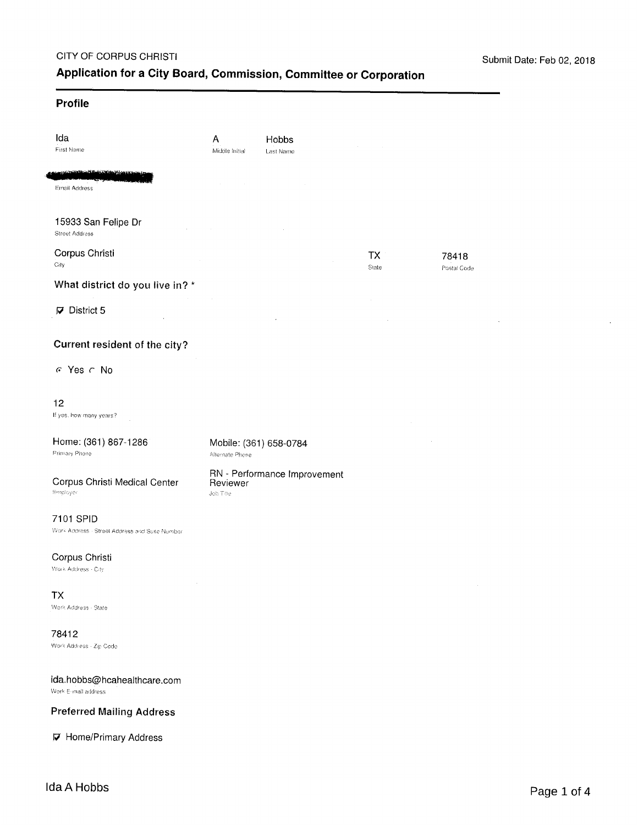J.

### Profile

| Ida<br>First Name                                           | Α<br>Middle Initial   | Hobbs<br>Last Name           |             |                      |
|-------------------------------------------------------------|-----------------------|------------------------------|-------------|----------------------|
| <u>itario kas</u> us<br>Email Address                       |                       |                              |             |                      |
| 15933 San Felipe Dr<br><b>Street Address</b>                |                       |                              |             |                      |
| Corpus Christi<br>City                                      |                       |                              | TX<br>State | 78418<br>Postal Code |
| What district do you live in? *                             |                       |                              |             |                      |
| $\nabla$ District 5                                         |                       |                              |             |                      |
| Current resident of the city?                               |                       |                              |             |                      |
| $C$ Yes $C$ No                                              |                       |                              |             |                      |
| 12<br>If yes, how many years?                               |                       |                              |             |                      |
| Home: (361) 867-1286<br>Primary Phone                       | Alternate Phone       | Mobile: (361) 658-0784       |             |                      |
| Corpus Christi Medical Center<br>Employer                   | Reviewer<br>Job Title | RN - Performance Improvement |             |                      |
| 7101 SPID<br>Work Address - Street Address and Suite Number |                       |                              |             |                      |
| Corpus Christi<br>Work Address - City                       |                       |                              |             |                      |
| <b>TX</b><br>Work Address - State                           |                       |                              |             |                      |
| 78412<br>Work Address - Zip Code                            |                       |                              |             |                      |
| ida.hobbs@hcahealthcare.com<br>Work E-mail address          |                       |                              |             |                      |

# **Preferred Mailing Address**

**D** Home/Primary Address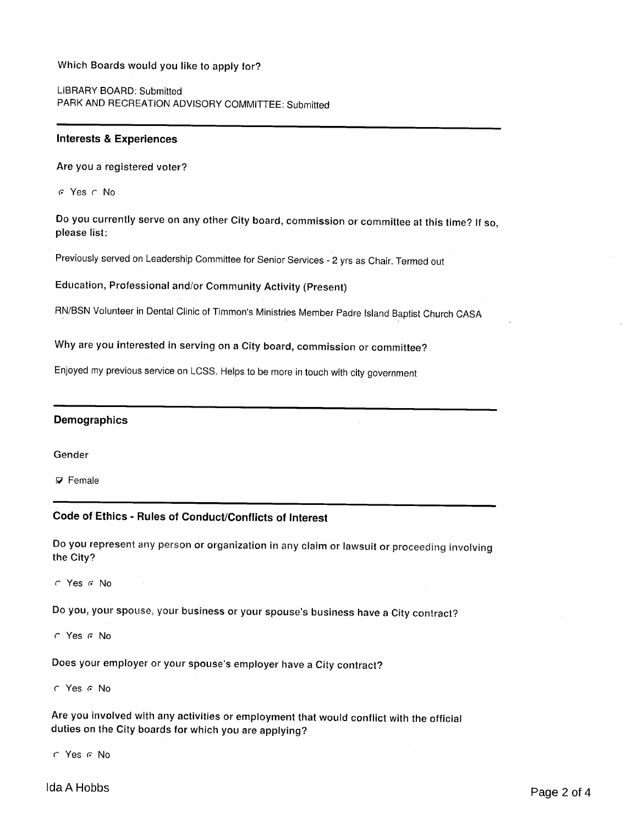### Which Boards would you like to apply for?

LIBRARY BOARD: Submitted PARK AND RECREATION ADVISORY COMMITTEE: Submitted

#### **Interests & Experiences**

Are you a registered voter?

G Yes C No

Do you currently serve on any other City board, commission or committee at this time? If so, please list:

Previously served on Leadership Committee for Senior Services - 2 yrs as Chair. Termed out

Education, Professional and/or Community Activity (Present)

RN/BSN Volunteer in Dental Clinic of Timmon's Ministries Member Padre Island Baptist Church CASA

Why are you interested in serving on a City board, commission or committee?

Enjoyed my previous service on LCSS. Helps to be more in touch with city government

#### **Demographics**

Gender

 $\nabla$  Female

# Code of Ethics - Rules of Conduct/Conflicts of Interest

Do you represent any person or organization in any claim or lawsuit or proceeding involving the City?

 $C$  Yes  $G$  No

Do you, your spouse, your business or your spouse's business have a City contract?

 $C$  Yes  $C$  No

Does your employer or your spouse's employer have a City contract?

r Yes r No

Are you involved with any activities or employment that would conflict with the official duties on the City boards for which you are applying?

 $C$  Yes  $G$  No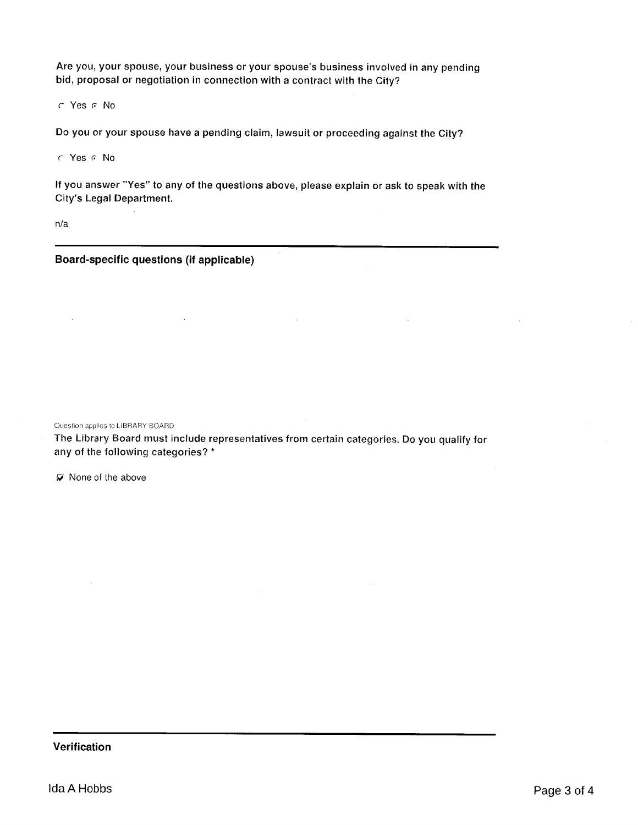Are you, your spouse, your business or your spouse's business involved in any pending bid, proposal or negotiation in connection with a contract with the City?

C Yes C No

Do you or your spouse have a pending claim, lawsuit or proceeding against the City?

C Yes C No

If you answer "Yes" to any of the questions above, please explain or ask to speak with the City's Legal Department.

 $n/a$ 

 $\bar{a}$ 

Board-specific questions (if applicable)

 $\sim 10^7$ 

Question applies to LIBRARY BOARD

The Library Board must include representatives from certain categories. Do you qualify for any of the following categories? \*

 $\mathbb{Z}^2$ 

 $\sim$ 

 $\nabla$  None of the above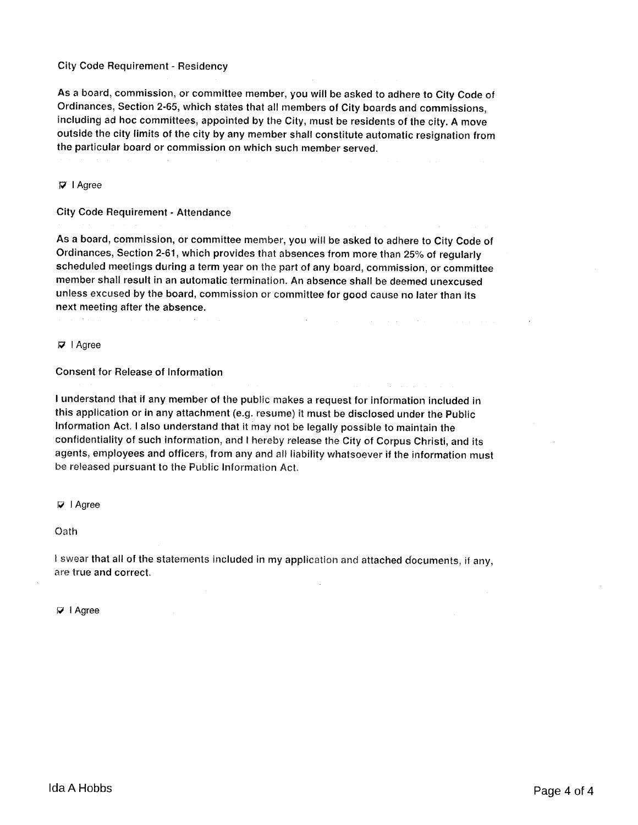#### **City Code Requirement - Residency**

As a board, commission, or committee member, you will be asked to adhere to City Code of Ordinances, Section 2-65, which states that all members of City boards and commissions, including ad hoc committees, appointed by the City, must be residents of the city. A move outside the city limits of the city by any member shall constitute automatic resignation from the particular board or commission on which such member served.

 $\nabla$  I Agree

**City Code Requirement - Attendance** 

As a board, commission, or committee member, you will be asked to adhere to City Code of Ordinances, Section 2-61, which provides that absences from more than 25% of regularly scheduled meetings during a term year on the part of any board, commission, or committee member shall result in an automatic termination. An absence shall be deemed unexcused unless excused by the board, commission or committee for good cause no later than its next meeting after the absence.

**Contract** 

 $\nabla$  | Agree

#### **Consent for Release of Information**

I understand that if any member of the public makes a request for information included in this application or in any attachment (e.g. resume) it must be disclosed under the Public Information Act. I also understand that it may not be legally possible to maintain the confidentiality of such information, and I hereby release the City of Corpus Christi, and its agents, employees and officers, from any and all liability whatsoever if the information must be released pursuant to the Public Information Act.

#### $\nabla$  | Agree

Oath

I swear that all of the statements included in my application and attached documents, if any, are true and correct.

 $\mathcal{L}$ 

 $\nabla$  | Agree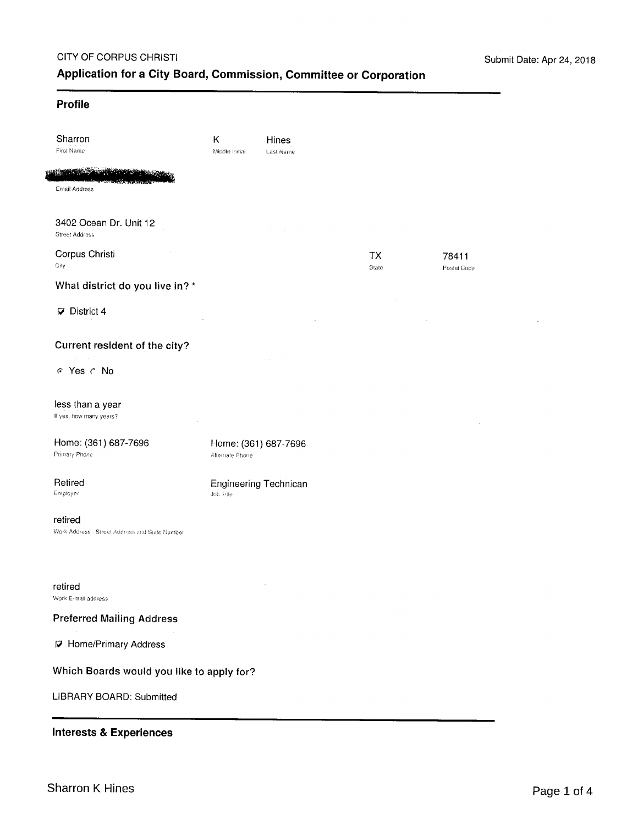$\ddot{\phantom{a}}$ 

# Profile

| Sharron<br>First Name                                               | Κ<br>Middle Initial                     | Hines<br>Last Name |             |                      |
|---------------------------------------------------------------------|-----------------------------------------|--------------------|-------------|----------------------|
| <b>IN AN INCOME OF A REAL PROPERTY AND INCOME.</b><br>Email Address |                                         |                    |             |                      |
| 3402 Ocean Dr. Unit 12<br><b>Street Address</b>                     |                                         |                    |             |                      |
| Corpus Christi<br>City                                              |                                         |                    | TX<br>State | 78411<br>Postal Code |
| What district do you live in? *                                     |                                         |                    |             |                      |
| $\nabla$ District 4                                                 |                                         |                    |             |                      |
| Current resident of the city?                                       |                                         |                    |             |                      |
| G Yes C No                                                          |                                         |                    |             |                      |
| less than a year<br>If yes, how many years?                         |                                         |                    |             |                      |
| Home: (361) 687-7696<br>Primary Phone                               | Home: (361) 687-7696<br>Alternate Phone |                    |             |                      |
| Retired<br>Employer                                                 | Engineering Technican<br>Job Title      |                    |             |                      |
| retired<br>Work Address - Street Address and Suite Number           |                                         |                    |             |                      |
| retired<br>Work E-mail address                                      |                                         | $\cdot$            |             |                      |
| <b>Preferred Mailing Address</b>                                    |                                         |                    |             |                      |
| <b>7</b> Home/Primary Address                                       |                                         |                    |             |                      |
| Which Boards would you like to apply for?                           |                                         |                    |             |                      |
| LIBRARY BOARD: Submitted                                            |                                         |                    |             |                      |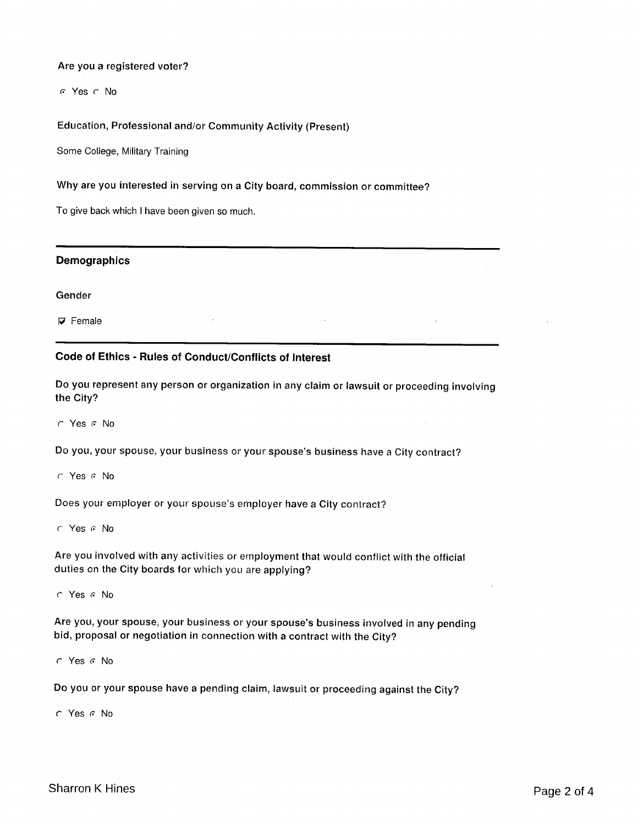### Are you a registered voter?

G Yes C No

# Education, Professional and/or Community Activity (Present)

Some College, Military Training

#### Why are you interested in serving on a City board, commission or committee?

To give back which I have been given so much.

### **Demographics**

Gender

 $\nabla$  Female

# Code of Ethics - Rules of Conduct/Conflicts of Interest

Do you represent any person or organization in any claim or lawsuit or proceeding involving the City?

 $\cap$  Yes  $\cap$  No

Do you, your spouse, your business or your spouse's business have a City contract?

 $\subset$  Yes  $\subset$  No

Does your employer or your spouse's employer have a City contract?

 $\cap$  Yes  $\cap$  No

Are you involved with any activities or employment that would conflict with the official duties on the City boards for which you are applying?

 $\cap$  Yes  $\cap$  No

Are you, your spouse, your business or your spouse's business involved in any pending bid, proposal or negotiation in connection with a contract with the City?

 $\cap$  Yes  $\cap$  No

Do you or your spouse have a pending claim, lawsuit or proceeding against the City?

C Yes G No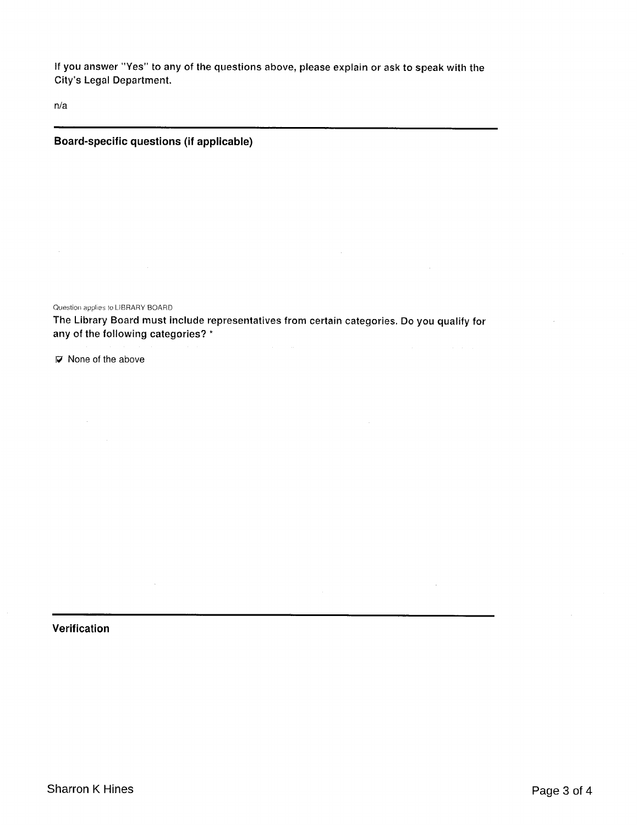If you answer "Yes" to any of the questions above, please explain or ask to speak with the City's Legal Department.

 $n/a$ 

## Board-specific questions (if applicable)

Question applies to LIBRARY BOARD

The Library Board must include representatives from certain categories. Do you qualify for any of the following categories? \*

 $\nabla$  None of the above

Verification

 $\mathcal{A}^{\mathcal{A}}$ 

 $\sim 10^{-1}$